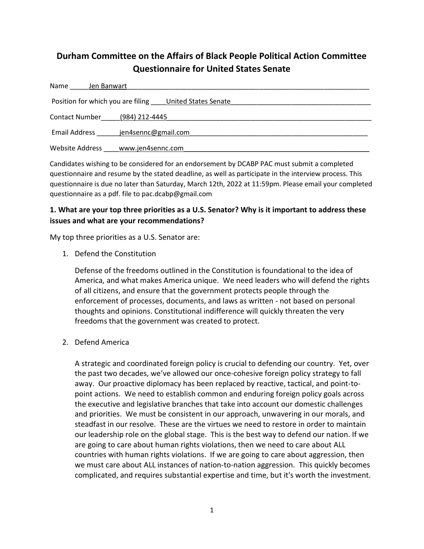# Durham Committee on the Affairs of Black People Political Action Committee Questionnaire for United States Senate

| Name<br>Jen Banwart                                    |                     |
|--------------------------------------------------------|---------------------|
| Position for which you are filing United States Senate |                     |
| <b>Contact Number</b>                                  | (984) 212-4445      |
| <b>Email Address</b>                                   | jen4sennc@gmail.com |
| Website Address                                        | www.jen4sennc.com   |

Candidates wishing to be considered for an endorsement by DCABP PAC must submit a completed questionnaire and resume by the stated deadline, as well as participate in the interview process. This questionnaire is due no later than Saturday, March 12th, 2022 at 11:59pm. Please email your completed questionnaire as a pdf. file to pac.dcabp@gmail.com

# 1. What are your top three priorities as a U.S. Senator? Why is it important to address these issues and what are your recommendations?

My top three priorities as a U.S. Senator are:

1. Defend the Constitution

Defense of the freedoms outlined in the Constitution is foundational to the idea of America, and what makes America unique. We need leaders who will defend the rights of all citizens, and ensure that the government protects people through the enforcement of processes, documents, and laws as written - not based on personal thoughts and opinions. Constitutional indifference will quickly threaten the very freedoms that the government was created to protect.

2. Defend America

A strategic and coordinated foreign policy is crucial to defending our country. Yet, over the past two decades, we've allowed our once-cohesive foreign policy strategy to fall away. Our proactive diplomacy has been replaced by reactive, tactical, and point-topoint actions. We need to establish common and enduring foreign policy goals across the executive and legislative branches that take into account our domestic challenges and priorities. We must be consistent in our approach, unwavering in our morals, and steadfast in our resolve. These are the virtues we need to restore in order to maintain our leadership role on the global stage. This is the best way to defend our nation. If we are going to care about human rights violations, then we need to care about ALL countries with human rights violations. If we are going to care about aggression, then we must care about ALL instances of nation-to-nation aggression. This quickly becomes complicated, and requires substantial expertise and time, but it's worth the investment.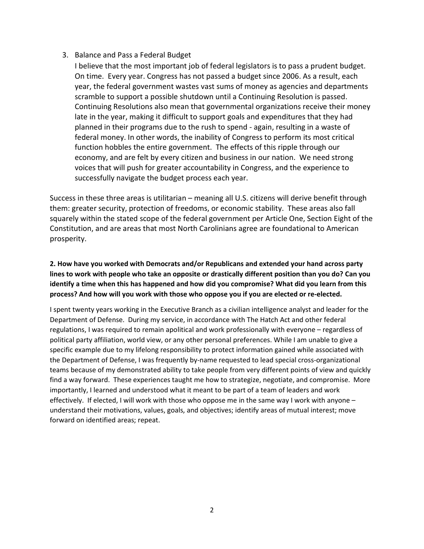#### 3. Balance and Pass a Federal Budget

I believe that the most important job of federal legislators is to pass a prudent budget. On time. Every year. Congress has not passed a budget since 2006. As a result, each year, the federal government wastes vast sums of money as agencies and departments scramble to support a possible shutdown until a Continuing Resolution is passed. Continuing Resolutions also mean that governmental organizations receive their money late in the year, making it difficult to support goals and expenditures that they had planned in their programs due to the rush to spend - again, resulting in a waste of federal money. In other words, the inability of Congress to perform its most critical function hobbles the entire government. The effects of this ripple through our economy, and are felt by every citizen and business in our nation. We need strong voices that will push for greater accountability in Congress, and the experience to successfully navigate the budget process each year.

Success in these three areas is utilitarian – meaning all U.S. citizens will derive benefit through them: greater security, protection of freedoms, or economic stability. These areas also fall squarely within the stated scope of the federal government per Article One, Section Eight of the Constitution, and are areas that most North Carolinians agree are foundational to American prosperity.

## 2. How have you worked with Democrats and/or Republicans and extended your hand across party lines to work with people who take an opposite or drastically different position than you do? Can you identify a time when this has happened and how did you compromise? What did you learn from this process? And how will you work with those who oppose you if you are elected or re-elected.

I spent twenty years working in the Executive Branch as a civilian intelligence analyst and leader for the Department of Defense. During my service, in accordance with The Hatch Act and other federal regulations, I was required to remain apolitical and work professionally with everyone – regardless of political party affiliation, world view, or any other personal preferences. While I am unable to give a specific example due to my lifelong responsibility to protect information gained while associated with the Department of Defense, I was frequently by-name requested to lead special cross-organizational teams because of my demonstrated ability to take people from very different points of view and quickly find a way forward. These experiences taught me how to strategize, negotiate, and compromise. More importantly, I learned and understood what it meant to be part of a team of leaders and work effectively. If elected, I will work with those who oppose me in the same way I work with anyone – understand their motivations, values, goals, and objectives; identify areas of mutual interest; move forward on identified areas; repeat.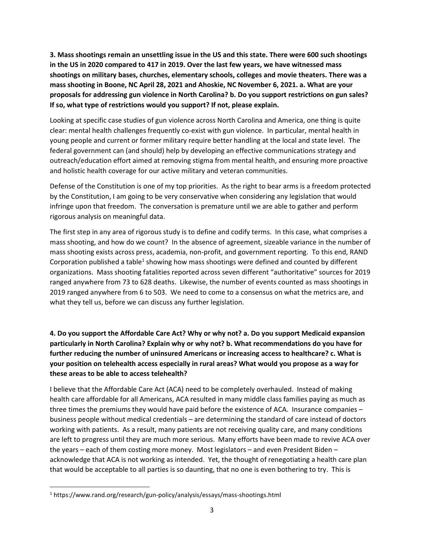3. Mass shootings remain an unsettling issue in the US and this state. There were 600 such shootings in the US in 2020 compared to 417 in 2019. Over the last few years, we have witnessed mass shootings on military bases, churches, elementary schools, colleges and movie theaters. There was a mass shooting in Boone, NC April 28, 2021 and Ahoskie, NC November 6, 2021. a. What are your proposals for addressing gun violence in North Carolina? b. Do you support restrictions on gun sales? If so, what type of restrictions would you support? If not, please explain.

Looking at specific case studies of gun violence across North Carolina and America, one thing is quite clear: mental health challenges frequently co-exist with gun violence. In particular, mental health in young people and current or former military require better handling at the local and state level. The federal government can (and should) help by developing an effective communications strategy and outreach/education effort aimed at removing stigma from mental health, and ensuring more proactive and holistic health coverage for our active military and veteran communities.

Defense of the Constitution is one of my top priorities. As the right to bear arms is a freedom protected by the Constitution, I am going to be very conservative when considering any legislation that would infringe upon that freedom. The conversation is premature until we are able to gather and perform rigorous analysis on meaningful data.

The first step in any area of rigorous study is to define and codify terms. In this case, what comprises a mass shooting, and how do we count? In the absence of agreement, sizeable variance in the number of mass shooting exists across press, academia, non-profit, and government reporting. To this end, RAND Corporation published a table<sup>1</sup> showing how mass shootings were defined and counted by different organizations. Mass shooting fatalities reported across seven different "authoritative" sources for 2019 ranged anywhere from 73 to 628 deaths. Likewise, the number of events counted as mass shootings in 2019 ranged anywhere from 6 to 503. We need to come to a consensus on what the metrics are, and what they tell us, before we can discuss any further legislation.

# 4. Do you support the Affordable Care Act? Why or why not? a. Do you support Medicaid expansion particularly in North Carolina? Explain why or why not? b. What recommendations do you have for further reducing the number of uninsured Americans or increasing access to healthcare? c. What is your position on telehealth access especially in rural areas? What would you propose as a way for these areas to be able to access telehealth?

I believe that the Affordable Care Act (ACA) need to be completely overhauled. Instead of making health care affordable for all Americans, ACA resulted in many middle class families paying as much as three times the premiums they would have paid before the existence of ACA. Insurance companies – business people without medical credentials – are determining the standard of care instead of doctors working with patients. As a result, many patients are not receiving quality care, and many conditions are left to progress until they are much more serious. Many efforts have been made to revive ACA over the years – each of them costing more money. Most legislators – and even President Biden – acknowledge that ACA is not working as intended. Yet, the thought of renegotiating a health care plan that would be acceptable to all parties is so daunting, that no one is even bothering to try. This is

<sup>&</sup>lt;sup>1</sup> https://www.rand.org/research/gun-policy/analysis/essays/mass-shootings.html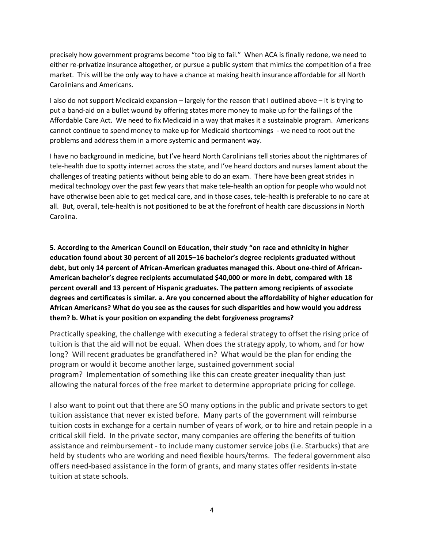precisely how government programs become "too big to fail." When ACA is finally redone, we need to either re-privatize insurance altogether, or pursue a public system that mimics the competition of a free market. This will be the only way to have a chance at making health insurance affordable for all North Carolinians and Americans.

I also do not support Medicaid expansion – largely for the reason that I outlined above – it is trying to put a band-aid on a bullet wound by offering states more money to make up for the failings of the Affordable Care Act. We need to fix Medicaid in a way that makes it a sustainable program. Americans cannot continue to spend money to make up for Medicaid shortcomings - we need to root out the problems and address them in a more systemic and permanent way.

I have no background in medicine, but I've heard North Carolinians tell stories about the nightmares of tele-health due to spotty internet across the state, and I've heard doctors and nurses lament about the challenges of treating patients without being able to do an exam. There have been great strides in medical technology over the past few years that make tele-health an option for people who would not have otherwise been able to get medical care, and in those cases, tele-health is preferable to no care at all. But, overall, tele-health is not positioned to be at the forefront of health care discussions in North Carolina.

5. According to the American Council on Education, their study "on race and ethnicity in higher education found about 30 percent of all 2015–16 bachelor's degree recipients graduated without debt, but only 14 percent of African-American graduates managed this. About one-third of African-American bachelor's degree recipients accumulated \$40,000 or more in debt, compared with 18 percent overall and 13 percent of Hispanic graduates. The pattern among recipients of associate degrees and certificates is similar. a. Are you concerned about the affordability of higher education for African Americans? What do you see as the causes for such disparities and how would you address them? b. What is your position on expanding the debt forgiveness programs?

Practically speaking, the challenge with executing a federal strategy to offset the rising price of tuition is that the aid will not be equal. When does the strategy apply, to whom, and for how long? Will recent graduates be grandfathered in? What would be the plan for ending the program or would it become another large, sustained government social program? Implementation of something like this can create greater inequality than just allowing the natural forces of the free market to determine appropriate pricing for college.

I also want to point out that there are SO many options in the public and private sectors to get tuition assistance that never ex isted before. Many parts of the government will reimburse tuition costs in exchange for a certain number of years of work, or to hire and retain people in a critical skill field. In the private sector, many companies are offering the benefits of tuition assistance and reimbursement - to include many customer service jobs (i.e. Starbucks) that are held by students who are working and need flexible hours/terms. The federal government also offers need-based assistance in the form of grants, and many states offer residents in-state tuition at state schools.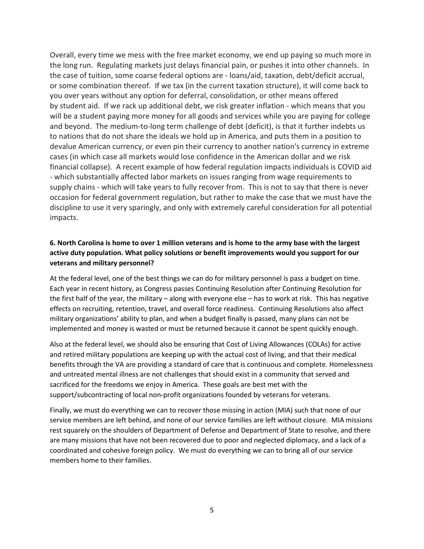Overall, every time we mess with the free market economy, we end up paying so much more in the long run. Regulating markets just delays financial pain, or pushes it into other channels. In the case of tuition, some coarse federal options are - loans/aid, taxation, debt/deficit accrual, or some combination thereof. If we tax (in the current taxation structure), it will come back to you over years without any option for deferral, consolidation, or other means offered by student aid. If we rack up additional debt, we risk greater inflation - which means that you will be a student paying more money for all goods and services while you are paying for college and beyond. The medium-to-long term challenge of debt (deficit), is that it further indebts us to nations that do not share the ideals we hold up in America, and puts them in a position to devalue American currency, or even pin their currency to another nation's currency in extreme cases (in which case all markets would lose confidence in the American dollar and we risk financial collapse). A recent example of how federal regulation impacts individuals is COVID aid - which substantially affected labor markets on issues ranging from wage requirements to supply chains - which will take years to fully recover from. This is not to say that there is never occasion for federal government regulation, but rather to make the case that we must have the discipline to use it very sparingly, and only with extremely careful consideration for all potential impacts.

## 6. North Carolina is home to over 1 million veterans and is home to the army base with the largest active duty population. What policy solutions or benefit improvements would you support for our veterans and military personnel?

At the federal level, one of the best things we can do for military personnel is pass a budget on time. Each year in recent history, as Congress passes Continuing Resolution after Continuing Resolution for the first half of the year, the military – along with everyone else – has to work at risk. This has negative effects on recruiting, retention, travel, and overall force readiness. Continuing Resolutions also affect military organizations' ability to plan, and when a budget finally is passed, many plans can not be implemented and money is wasted or must be returned because it cannot be spent quickly enough.

Also at the federal level, we should also be ensuring that Cost of Living Allowances (COLAs) for active and retired military populations are keeping up with the actual cost of living, and that their medical benefits through the VA are providing a standard of care that is continuous and complete. Homelessness and untreated mental illness are not challenges that should exist in a community that served and sacrificed for the freedoms we enjoy in America. These goals are best met with the support/subcontracting of local non-profit organizations founded by veterans for veterans.

Finally, we must do everything we can to recover those missing in action (MIA) such that none of our service members are left behind, and none of our service families are left without closure. MIA missions rest squarely on the shoulders of Department of Defense and Department of State to resolve, and there are many missions that have not been recovered due to poor and neglected diplomacy, and a lack of a coordinated and cohesive foreign policy. We must do everything we can to bring all of our service members home to their families.